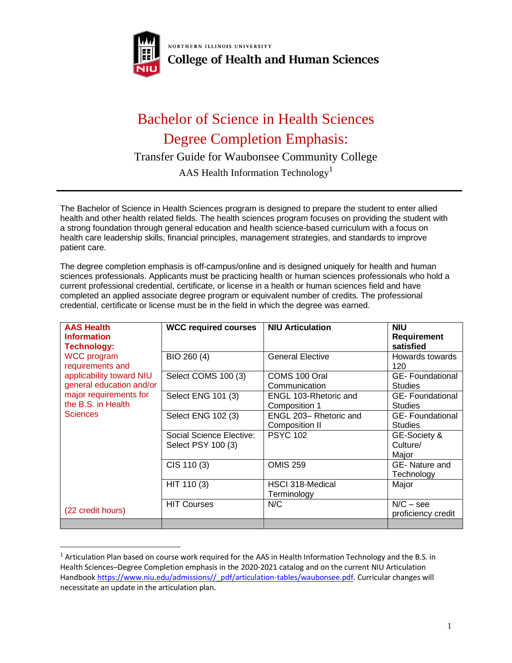

NORTHERN ILLINOIS UNIVERSITY **College of Health and Human Sciences** 

## Bachelor of Science in Health Sciences Degree Completion Emphasis:

Transfer Guide for Waubonsee Community College

AAS Health Information Technology<sup>1</sup>

The Bachelor of Science in Health Sciences program is designed to prepare the student to enter allied health and other health related fields. The health sciences program focuses on providing the student with a strong foundation through general education and health science-based curriculum with a focus on health care leadership skills, financial principles, management strategies, and standards to improve patient care.

The degree completion emphasis is off-campus/online and is designed uniquely for health and human sciences professionals. Applicants must be practicing health or human sciences professionals who hold a current professional credential, certificate, or license in a health or human sciences field and have completed an applied associate degree program or equivalent number of credits. The professional credential, certificate or license must be in the field in which the degree was earned.

| <b>AAS Health</b><br><b>Information</b><br><b>Technology:</b>                                                                                                     | <b>WCC required courses</b>                    | <b>NIU Articulation</b>                 | <b>NIU</b><br><b>Requirement</b><br>satisfied |
|-------------------------------------------------------------------------------------------------------------------------------------------------------------------|------------------------------------------------|-----------------------------------------|-----------------------------------------------|
| <b>WCC</b> program<br>requirements and<br>applicability toward NIU<br>general education and/or<br>major requirements for<br>the B.S. in Health<br><b>Sciences</b> | BIO 260 (4)                                    | <b>General Elective</b>                 | Howards towards<br>120                        |
|                                                                                                                                                                   | Select COMS 100 (3)                            | COMS 100 Oral<br>Communication          | <b>GE-Foundational</b><br><b>Studies</b>      |
|                                                                                                                                                                   | Select ENG 101 (3)                             | ENGL 103-Rhetoric and<br>Composition 1  | <b>GE-Foundational</b><br><b>Studies</b>      |
|                                                                                                                                                                   | Select ENG 102 (3)                             | ENGL 203-Rhetoric and<br>Composition II | <b>GE-Foundational</b><br><b>Studies</b>      |
|                                                                                                                                                                   | Social Science Elective:<br>Select PSY 100 (3) | <b>PSYC 102</b>                         | GE-Society &<br>Culture/<br>Major             |
|                                                                                                                                                                   | CIS 110 (3)                                    | <b>OMIS 259</b>                         | GE-Nature and<br>Technology                   |
|                                                                                                                                                                   | HIT 110 (3)                                    | HSCI 318-Medical<br>Terminology         | Major                                         |
| (22 credit hours)                                                                                                                                                 | <b>HIT Courses</b>                             | N/C                                     | $N/C -$ see<br>proficiency credit             |
|                                                                                                                                                                   |                                                |                                         |                                               |

 $1$  Articulation Plan based on course work required for the AAS in Health Information Technology and the B.S. in Health Sciences–Degree Completion emphasis in the 2020-2021 catalog and on the current NIU Articulation Handbook [https://www.niu.edu/admissions//\\_pdf/articulation-tables/waubonsee.pdf.](https://www.niu.edu/admissions/_pdf/articulation-tables/waubonsee.pdf) Curricular changes will necessitate an update in the articulation plan.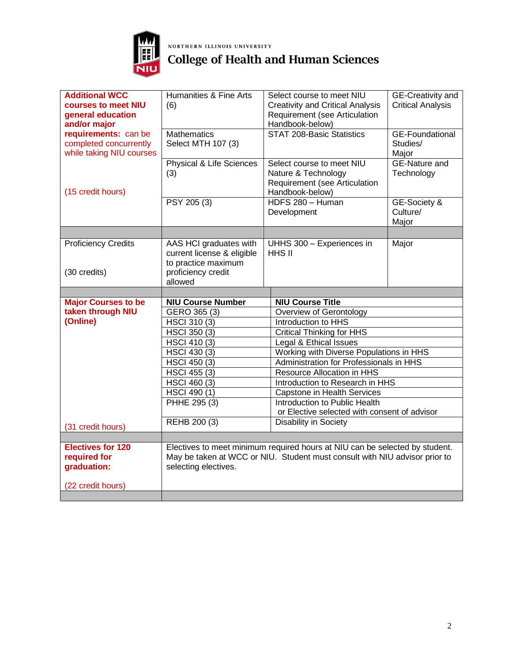

## **NORTHERN ILLINOIS UNIVERSITY**<br>College of Health and Human Sciences

| <b>Additional WCC</b><br>courses to meet NIU<br>general education<br>and/or major<br>requirements: can be<br>completed concurrently | Humanities & Fine Arts<br>(6)<br><b>Mathematics</b><br>Select MTH 107 (3)   | Select course to meet NIU<br><b>Creativity and Critical Analysis</b><br>Requirement (see Articulation<br>Handbook-below)<br><b>STAT 208-Basic Statistics</b> | GE-Creativity and<br><b>Critical Analysis</b><br><b>GE-Foundational</b><br>Studies/ |
|-------------------------------------------------------------------------------------------------------------------------------------|-----------------------------------------------------------------------------|--------------------------------------------------------------------------------------------------------------------------------------------------------------|-------------------------------------------------------------------------------------|
| while taking NIU courses<br>(15 credit hours)                                                                                       | Physical & Life Sciences<br>(3)<br>PSY 205 (3)                              | Select course to meet NIU<br>Nature & Technology<br>Requirement (see Articulation<br>Handbook-below)<br>HDFS 280 - Human                                     | Major<br><b>GE-Nature and</b><br>Technology<br>GE-Society &                         |
|                                                                                                                                     |                                                                             | Development                                                                                                                                                  | Culture/<br>Major                                                                   |
|                                                                                                                                     |                                                                             |                                                                                                                                                              |                                                                                     |
| <b>Proficiency Credits</b>                                                                                                          | AAS HCI graduates with<br>current license & eligible<br>to practice maximum | UHHS 300 - Experiences in<br>HHS II                                                                                                                          | Major                                                                               |
| (30 credits)                                                                                                                        | proficiency credit<br>allowed                                               |                                                                                                                                                              |                                                                                     |
|                                                                                                                                     |                                                                             |                                                                                                                                                              |                                                                                     |
|                                                                                                                                     |                                                                             |                                                                                                                                                              |                                                                                     |
| <b>Major Courses to be</b>                                                                                                          | <b>NIU Course Number</b>                                                    | <b>NIU Course Title</b>                                                                                                                                      |                                                                                     |
| taken through NIU                                                                                                                   | GERO 365 (3)                                                                | Overview of Gerontology                                                                                                                                      |                                                                                     |
| (Online)                                                                                                                            | HSCI 310 (3)                                                                | Introduction to HHS                                                                                                                                          |                                                                                     |
|                                                                                                                                     | <b>HSCI 350 (3)</b>                                                         | <b>Critical Thinking for HHS</b>                                                                                                                             |                                                                                     |
|                                                                                                                                     | <b>HSCI 410 (3)</b>                                                         | Legal & Ethical Issues                                                                                                                                       |                                                                                     |
|                                                                                                                                     | HSCI 430 (3)                                                                | Working with Diverse Populations in HHS                                                                                                                      |                                                                                     |
|                                                                                                                                     | <b>HSCI 450 (3)</b>                                                         | Administration for Professionals in HHS                                                                                                                      |                                                                                     |
|                                                                                                                                     | <b>HSCI 455 (3)</b>                                                         | Resource Allocation in HHS                                                                                                                                   |                                                                                     |
|                                                                                                                                     | HSCI 460 (3)<br>HSCI 490 (1)                                                | Introduction to Research in HHS                                                                                                                              |                                                                                     |
|                                                                                                                                     | PHHE 295 (3)                                                                | Capstone in Health Services<br>Introduction to Public Health                                                                                                 |                                                                                     |
|                                                                                                                                     |                                                                             | or Elective selected with consent of advisor                                                                                                                 |                                                                                     |
| (31 credit hours)                                                                                                                   | REHB 200 (3)                                                                | Disability in Society                                                                                                                                        |                                                                                     |
|                                                                                                                                     |                                                                             |                                                                                                                                                              |                                                                                     |
| <b>Electives for 120</b><br>required for<br>graduation:                                                                             | selecting electives.                                                        | Electives to meet minimum required hours at NIU can be selected by student.<br>May be taken at WCC or NIU. Student must consult with NIU advisor prior to    |                                                                                     |
| (22 credit hours)                                                                                                                   |                                                                             |                                                                                                                                                              |                                                                                     |